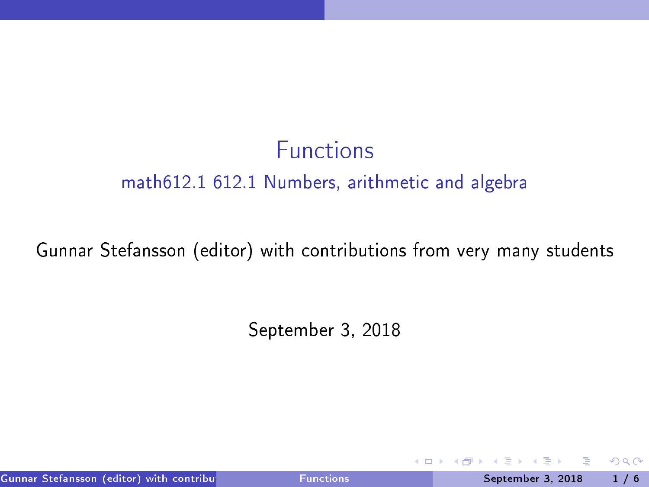## **Functions** math612.1 612.1 Numbers, arithmeti and algebra

#### Gunnar Stefansson (editor) with ontributions from very many students

September 3, 2018

Gunnar Stefansson (editor) with contributions from very many from very many students September 3, 2018 1 / 6

4 0 8

<span id="page-0-0"></span> $QQ$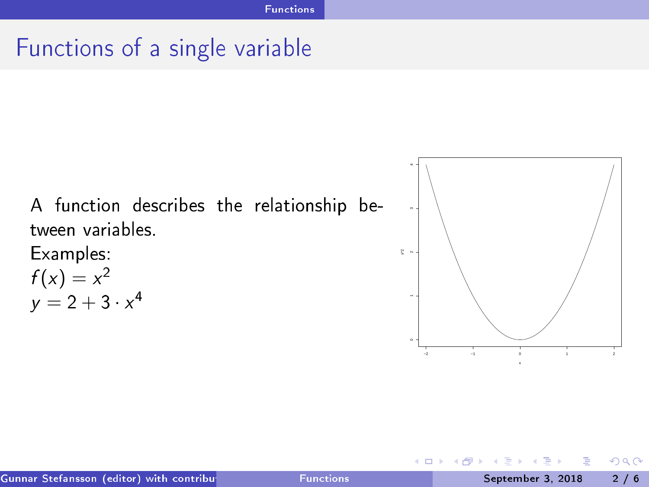## Fun
tions of <sup>a</sup> single variable

A fun
tion des
ribes the relationship between variables

Examples:  $f(x) = x^2$ <br>  $y = 2 + 3 \cdot x^4$ 



4 0 8

<span id="page-1-0"></span> $298$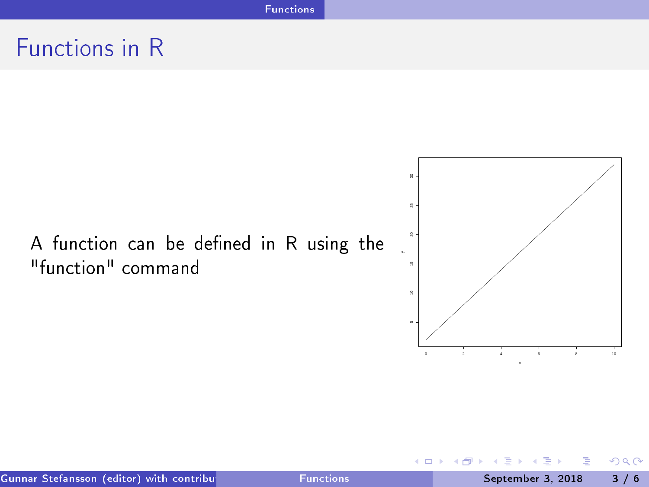# Functions in R

# A function can be defined in R using the "function" command



**K ロ ト K 何 ト** 

э

<span id="page-2-0"></span> $2980$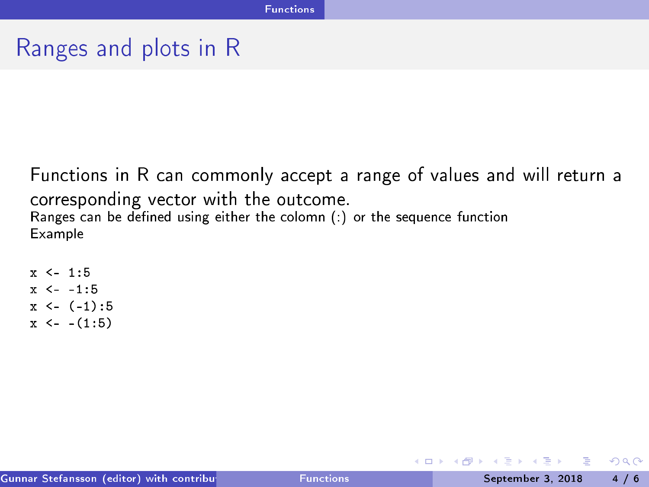## Ranges and plots in <sup>R</sup>

Functions in R can commonly accept a range of values and will return a orresponding vector with the output of the output of the output of the output of the output of the output of t Ranges an be dened using either the olomn (:) or the sequen
e fun
tion Example

```
x \le -1.5x \le -1.5x \leftarrow (-1):5x \leftarrow -(1:5)\mathbf x \sim \mathbf x
```
э

<span id="page-3-0"></span> $QQQ$ 

イロト イ母ト イヨト イヨト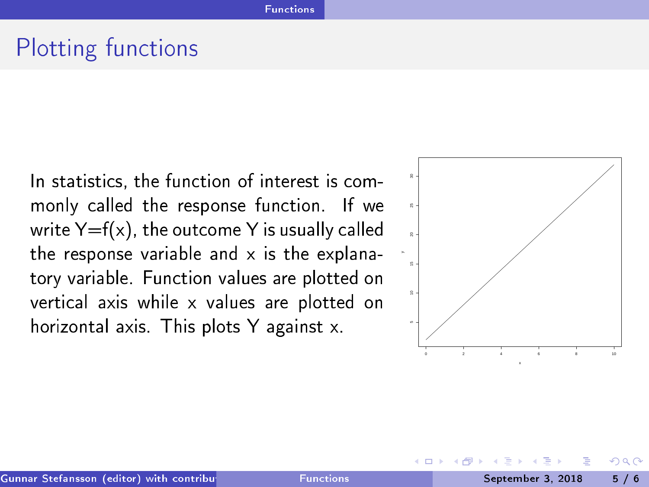## Plotting functions

In statistics, the function of interest is com-In statisti
s, the fun
tion of interest is ommonly called the response function. If we write  $Y=f(x)$ , the outcome Y is usually called the response variable and  $x$  is the explanatory variable. Function values are plotted on verti
al axis while x values are plotted on horizontal axis. This plots Y against x.



<span id="page-4-0"></span> $\Omega$